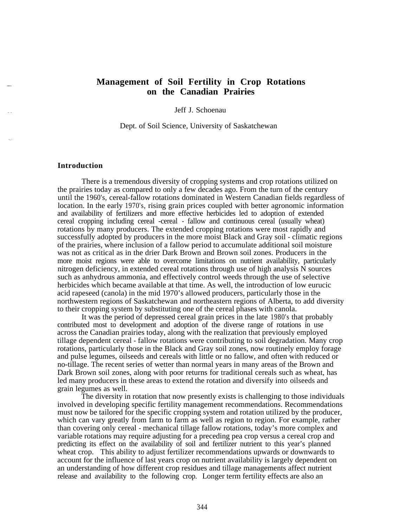## **Management of Soil Fertility in Crop Rotations on the Canadian Prairies**

Jeff J. Schoenau

Dept. of Soil Science, University of Saskatchewan

## **Introduction**

There is a tremendous diversity of cropping systems and crop rotations utilized on the prairies today as compared to only a few decades ago. From the turn of the century until the 1960's, cereal-fallow rotations dominated in Western Canadian fields regardless of location. In the early 1970's, rising grain prices coupled with better agronomic information and availability of fertilizers and more effective herbicides led to adoption of extended cereal cropping including cereal -cereal - fallow and continuous cereal (usually wheat) rotations by many producers. The extended cropping rotations were most rapidly and successfully adopted by producers in the more moist Black and Gray soil - climatic regions of the prairies, where inclusion of a fallow period to accumulate additional soil moisture was not as critical as in the drier Dark Brown and Brown soil zones. Producers in the more moist regions were able to overcome limitations on nutrient availability, particularly nitrogen deficiency, in extended cereal rotations through use of high analysis N sources such as anhydrous ammonia, and effectively control weeds through the use of selective herbicides which became available at that time. As well, the introduction of low eurucic acid rapeseed (canola) in the mid 1970's allowed producers, particularly those in the northwestern regions of Saskatchewan and northeastern regions of Alberta, to add diversity to their cropping system by substituting one of the cereal phases with canola.

It was the period of depressed cereal grain prices in the late 1980's that probably contributed most to development and adoption of the diverse range of rotations in use across the Canadian prairies today, along with the realization that previously employed tillage dependent cereal - fallow rotations were contributing to soil degradation. Many crop rotations, particularly those in the Black and Gray soil zones, now routinely employ forage and pulse legumes, oilseeds and cereals with little or no fallow, and often with reduced or no-tillage. The recent series of wetter than normal years in many areas of the Brown and Dark Brown soil zones, along with poor returns for traditional cereals such as wheat, has led many producers in these areas to extend the rotation and diversify into oilseeds and grain legumes as well.

The diversity in rotation that now presently exists is challenging to those individuals involved in developing specific fertility management recommendations. Recommendations must now be tailored for the specific cropping system and rotation utilized by the producer, which can vary greatly from farm to farm as well as region to region. For example, rather than covering only cereal - mechanical tillage fallow rotations, today's more complex and variable rotations may require adjusting for a preceding pea crop versus a cereal crop and predicting its effect on the availability of soil and fertilizer nutrient to this year's planned wheat crop. This ability to adjust fertilizer recommendations upwards or downwards to account for the influence of last years crop on nutrient availability is largely dependent on an understanding of how different crop residues and tillage managements affect nutrient release and availability to the following crop. Longer term fertility effects are also an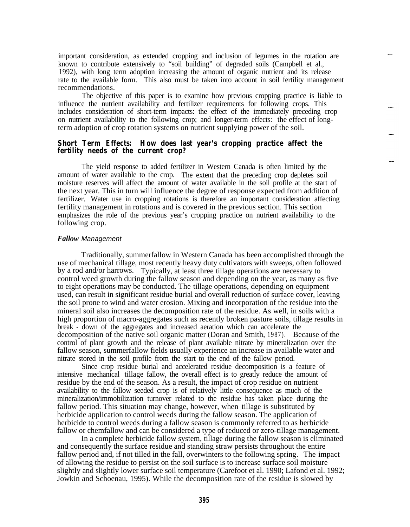important consideration, as extended cropping and inclusion of legumes in the rotation are known to contribute extensively to "soil building" of degraded soils (Campbell et al., 1992), with long term adoption increasing the amount of organic nutrient and its release rate to the available form. This also must be taken into account in soil fertility management recommendations.

The objective of this paper is to examine how previous cropping practice is liable to influence the nutrient availability and fertilizer requirements for following crops. This includes consideration of short-term impacts: the effect of the immediately preceding crop on nutrient availability to the following crop; and longer-term effects: the effect of longterm adoption of crop rotation systems on nutrient supplying power of the soil.

# **Short Term Effects: How does last year's cropping practice affect the fertility needs of the current crop?**

The yield response to added fertilizer in Western Canada is often limited by the amount of water available to the crop. The extent that the preceding crop depletes soil moisture reserves will affect the amount of water available in the soil profile at the start of the next year. This in turn will influence the degree of response expected from addition of fertilizer. Water use in cropping rotations is therefore an important consideration affecting fertility management in rotations and is covered in the previous section. This section emphasizes the role of the previous year's cropping practice on nutrient availability to the following crop.

#### *Fallow Management*

Traditionally, summerfallow in Western Canada has been accomplished through the use of mechanical tillage, most recently heavy duty cultivators with sweeps, often followed by a rod and/or harrows. Typically, at least three tillage operations are necessary to control weed growth during the fallow season and depending on the year, as many as five to eight operations may be conducted. The tillage operations, depending on equipment used, can result in significant residue burial and overall reduction of surface cover, leaving the soil prone to wind and water erosion. Mixing and incorporation of the residue into the mineral soil also increases the decomposition rate of the residue. As well, in soils with a high proportion of macro-aggregates such as recently broken pasture soils, tillage results in break - down of the aggregates and increased aeration which can accelerate the decomposition of the native soil organic matter (Doran and Smith, 1987). Because of the control of plant growth and the release of plant available nitrate by mineralization over the fallow season, summerfallow fields usually experience an increase in available water and nitrate stored in the soil profile from the start to the end of the fallow period.

Since crop residue burial and accelerated residue decomposition is a feature of intensive mechanical tillage fallow, the overall effect is to greatly reduce the amount of residue by the end of the season. As a result, the impact of crop residue on nutrient availability to the fallow seeded crop is of relatively little consequence as much of the mineralization/immobilization turnover related to the residue has taken place during the fallow period. This situation may change, however, when tillage is substituted by herbicide application to control weeds during the fallow season. The application of herbicide to control weeds during a fallow season is commonly referred to as herbicide fallow or chemfallow and can be considered a type of reduced or zero-tillage management.

In a complete herbicide fallow system, tillage during the fallow season is eliminated and consequently the surface residue and standing straw persists throughout the entire fallow period and, if not tilled in the fall, overwinters to the following spring. The impact of allowing the residue to persist on the soil surface is to increase surface soil moisture slightly and slightly lower surface soil temperature (Carefoot et al. 1990; Lafond et al. 1992; Jowkin and Schoenau, 1995). While the decomposition rate of the residue is slowed by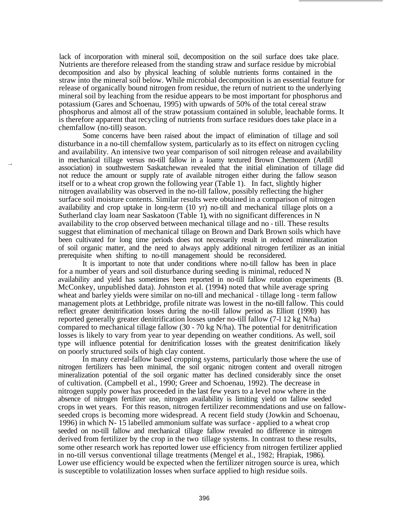lack of incorporation with mineral soil, decomposition on the soil surface does take place. Nutrients are therefore released from the standing straw and surface residue by microbial decomposition and also by physical leaching of soluble nutrients forms contained in the straw into the mineral soil below. While microbial decomposition is an essential feature for release of organically bound nitrogen from residue, the return of nutrient to the underlying mineral soil by leaching from the residue appears to be most important for phosphorus and potassium (Gares and Schoenau, 1995) with upwards of 50% of the total cereal straw phosphorus and almost all of the straw potassium contained in soluble, leachable forms. It is therefore apparent that recycling of nutrients from surface residues does take place in a chemfallow (no-till) season.

Some concerns have been raised about the impact of elimination of tillage and soil disturbance in a no-till chemfallow system, particularly as to its effect on nitrogen cycling and availability. An intensive two year comparison of soil nitrogen release and availability in mechanical tillage versus no-till fallow in a loamy textured Brown Chemozem (Ardill association) in southwestern Saskatchewan revealed that the initial elimination of tillage did not reduce the amount or supply rate of available nitrogen either during the fallow season itself or to a wheat crop grown the following year (Table 1). In fact, slightly higher nitrogen availability was observed in the no-till fallow, possibly reflecting the higher surface soil moisture contents. Similar results were obtained in a comparison of nitrogen availability and crop uptake in long-term (10 yr) no-till and mechanical tillage plots on a Sutherland clay loam near Saskatoon (Table 1), with no significant differences in N availability to the crop observed between mechanical tillage and no - till. These results suggest that elimination of mechanical tillage on Brown and Dark Brown soils which have been cultivated for long time periods does not necessarily result in reduced mineralization of soil organic matter, and the need to always apply additional nitrogen fertilizer as an initial prerequisite when shifting to no-till management should be reconsidered.

It is important to note that under conditions where no-till fallow has been in place for a number of years and soil disturbance during seeding is minimal, reduced N availability and yield has sometimes been reported in no-till fallow rotation experiments (B. McConkey, unpublished data). Johnston et al. (1994) noted that while average spring wheat and barley yields were similar on no-till and mechanical - tillage long - term fallow management plots at Lethbridge, profile nitrate was lowest in the no-till fallow. This could reflect greater denitrification losses during the no-till fallow period as Elliott (1990) has reported generally greater denitrification losses under no-till fallow (7-l 12 kg N/ha) compared to mechanical tillage fallow (30 - 70 kg N/ha). The potential for denitrification losses is likely to vary from year to year depending on weather conditions. As well, soil type will influence potential for denitrification losses with the greatest denitrification likely on poorly structured soils of high clay content.

In many cereal-fallow based cropping systems, particularly those where the use of nitrogen fertilizers has been minimal, the soil organic nitrogen content and overall nitrogen mineralization potential of the soil organic matter has declined considerably since the onset of cultivation. (Campbell et al., 1990; Greer and Schoenau, 1992). The decrease in nitrogen supply power has proceeded in the last few years to a level now where in the absence of nitrogen fertilizer use, nitrogen availability is limiting yield on fallow seeded crops in wet years. For this reason, nitrogen fertilizer recommendations and use on fallowseeded crops is becoming more widespread. A recent field study (Jowkin and Schoenau, 1996) in which N- 15 labelled ammonium sulfate was surface - applied to a wheat crop seeded on no-till fallow and mechanical tillage fallow revealed no difference in nitrogen derived from fertilizer by the crop in the two tillage systems. In contrast to these results, some other research work has reported lower use efficiency from nitrogen fertilizer applied in no-till versus conventional tillage treatments (Mengel et al., 1982; Hrapiak, 1986). Lower use efficiency would be expected when the fertilizer nitrogen source is urea, which is susceptible to volatilization losses when surface applied to high residue soils.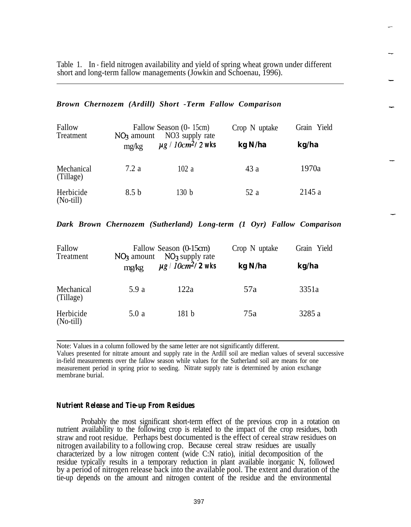Table 1. In - field nitrogen availability and yield of spring wheat grown under different short and long-term fallow managements (Jowkin and Schoenau, 1996).

#### *Brown Chernozem (Ardill) Short -Term Fallow Comparison*

| Fallow<br>Treatment      | Fallow Season (0- 15cm)<br>NO3 supply rate<br>$NO3$ amount |                                    | Crop N uptake | Grain Yield |
|--------------------------|------------------------------------------------------------|------------------------------------|---------------|-------------|
|                          | mg/kg                                                      | $\mu$ g / 10cm <sup>2</sup> /2 wks | kg N/ha       | kg/ha       |
| Mechanical<br>(Tillage)  | 7.2a                                                       | 102a                               | 43 a          | 1970a       |
| Herbicide<br>$(No-till)$ | 8.5 <sub>b</sub>                                           | 130 b                              | 52 a          | 2145 a      |

*Dark Brown Chernozem (Sutherland) Long-term (1 Oyr) Fallow Comparison*

| Fallow<br>Treatment      | Fallow Season (0-15cm)<br>$NO3$ amount $NO3$ supply rate |                                     | Crop N uptake | Grain Yield |
|--------------------------|----------------------------------------------------------|-------------------------------------|---------------|-------------|
|                          | mg/kg                                                    | $\mu$ g   10cm <sup>2</sup> / 2 wks | kg N/ha       | kg/ha       |
| Mechanical<br>(Tillage)  | 5.9 a                                                    | 122a                                | 57a           | 3351a       |
| Herbicide<br>$(No-till)$ | 5.0a                                                     | 181 <sub>b</sub>                    | 75a           | 3285 a      |

Note: Values in a column followed by the same letter are not significantly different.

Values presented for nitrate amount and supply rate in the Ardill soil are median values of several successive in-field measurements over the fallow season while values for the Sutherland soil are means for one measurement period in spring prior to seeding. Nitrate supply rate is determined by anion exchange membrane burial.

## *Nutrient Release and Tie-up From Residues*

Probably the most significant short-term effect of the previous crop in a rotation on nutrient availability to the following crop is related to the impact of the crop residues, both straw and root residue. Perhaps best documented is the effect of cereal straw residues on nitrogen availability to a following crop. Because cereal straw residues are usually characterized by a low nitrogen content (wide C:N ratio), initial decomposition of the residue typically results in a temporary reduction in plant available inorganic N, followed by a period of nitrogen release back into the available pool. The extent and duration of the tie-up depends on the amount and nitrogen content of the residue and the environmental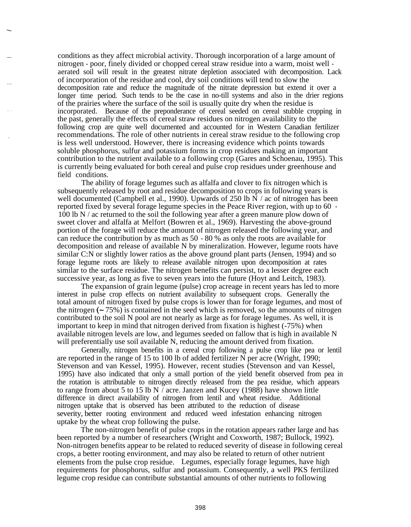conditions as they affect microbial activity. Thorough incorporation of a large amount of nitrogen - poor, finely divided or chopped cereal straw residue into a warm, moist well aerated soil will result in the greatest nitrate depletion associated with decomposition. Lack of incorporation of the residue and cool, dry soil conditions will tend to slow the decomposition rate and reduce the magnitude of the nitrate depression but extend it over a longer time period. Such tends to be the case in no-till systems and also in the drier regions of the prairies where the surface of the soil is usually quite dry when the residue is incorporated. Because of the preponderance of cereal seeded on cereal stubble cropping in the past, generally the effects of cereal straw residues on nitrogen availability to the following crop are quite well documented and accounted for in Western Canadian fertilizer recommendations. The role of other nutrients in cereal straw residue to the following crop is less well understood. However, there is increasing evidence which points towards soluble phosphorus, sulfur and potassium forms in crop residues making an important contribution to the nutrient available to a following crop (Gares and Schoenau, 1995). This is currently being evaluated for both cereal and pulse crop residues under greenhouse and field conditions.

The ability of forage legumes such as alfalfa and clover to fix nitrogen which is subsequently released by root and residue decomposition to crops in following years is well documented (Campbell et al., 1990). Upwards of 250 lb N  $/$  ac of nitrogen has been reported fixed by several forage legume species in the Peace River region, with up to 60 - 100 lb N / ac returned to the soil the following year after a green manure plow down of sweet clover and alfalfa at Melfort (Bowren et al., 1969). Harvesting the above-ground portion of the forage will reduce the amount of nitrogen released the following year, and can reduce the contribution by as much as 50 - 80 % as only the roots are available for decomposition and release of available N by mineralization. However, legume roots have similar C:N or slightly lower ratios as the above ground plant parts (Jensen, 1994) and so forage legume roots are likely to release available nitrogen upon decomposition at rates similar to the surface residue. The nitrogen benefits can persist, to a lesser degree each successive year, as long as five to seven years into the future (Hoyt and Leitch, 1983).

The expansion of grain legume (pulse) crop acreage in recent years has led to more interest in pulse crop effects on nutrient availability to subsequent crops. Generally the total amount of nitrogen fixed by pulse crops is lower than for forage legumes, and most of the nitrogen  $(-75\%)$  is contained in the seed which is removed, so the amounts of nitrogen contributed to the soil N pool are not nearly as large as for forage legumes. As well, it is important to keep in mind that nitrogen derived from fixation is highest (-75%) when available nitrogen levels are low, and legumes seeded on fallow that is high in available N will preferentially use soil available N, reducing the amount derived from fixation.

Generally, nitrogen benefits in a cereal crop following a pulse crop like pea or lentil are reported in the range of 15 to 100 lb of added fertilizer N per acre (Wright, 1990; Stevenson and van Kessel, 1995). However, recent studies (Stevenson and van Kessel, 1995) have also indicated that only a small portion of the yield benefit observed from pea in the rotation is attributable to nitrogen directly released from the pea residue, which appears to range from about 5 to 15 lb N / acre. Janzen and Kucey (1988) have shown little difference in direct availability of nitrogen from lentil and wheat residue. Additional nitrogen uptake that is observed has been attributed to the reduction of disease severity, better rooting environment and reduced weed infestation enhancing nitrogen uptake by the wheat crop following the pulse.

The non-nitrogen benefit of pulse crops in the rotation appears rather large and has been reported by a number of researchers (Wright and Coxworth, 1987; Bullock, 1992). Non-nitrogen benefits appear to be related to reduced severity of disease in following cereal crops, a better rooting environment, and may also be related to return of other nutrient elements from the pulse crop residue. Legumes, especially forage legumes, have high requirements for phosphorus, sulfur and potassium. Consequently, a well PKS fertilized legume crop residue can contribute substantial amounts of other nutrients to following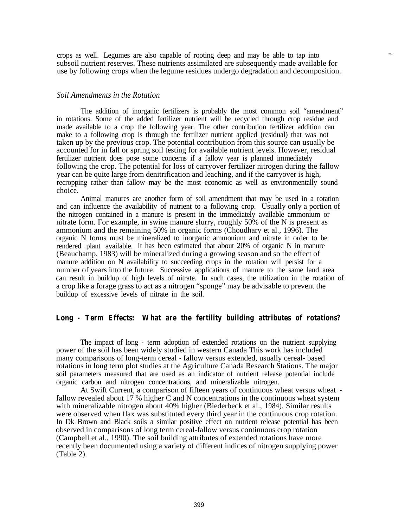crops as well. Legumes are also capable of rooting deep and may be able to tap into subsoil nutrient reserves. These nutrients assimilated are subsequently made available for use by following crops when the legume residues undergo degradation and decomposition.

#### *Soil Amendments in the Rotation*

The addition of inorganic fertilizers is probably the most common soil "amendment" in rotations. Some of the added fertilizer nutrient will be recycled through crop residue and made available to a crop the following year. The other contribution fertilizer addition can make to a following crop is through the fertilizer nutrient applied (residual) that was not taken up by the previous crop. The potential contribution from this source can usually be accounted for in fall or spring soil testing for available nutrient levels. However, residual fertilizer nutrient does pose some concerns if a fallow year is planned immediately following the crop. The potential for loss of carryover fertilizer nitrogen during the fallow year can be quite large from denitrification and leaching, and if the carryover is high, recropping rather than fallow may be the most economic as well as environmentally sound choice.

Animal manures are another form of soil amendment that may be used in a rotation and can influence the availability of nutrient to a following crop. Usually only a portion of the nitrogen contained in a manure is present in the immediately available ammonium or nitrate form. For example, in swine manure slurry, roughly 50% of the N is present as ammonium and the remaining 50% in organic forms (Choudhary et al., 1996). The organic N forms must be mineralized to inorganic ammonium and nitrate in order to be rendered plant available. It has been estimated that about 20% of organic N in manure (Beauchamp, 1983) will be mineralized during a growing season and so the effect of manure addition on N availability to succeeding crops in the rotation will persist for a number of years into the future. Successive applications of manure to the same land area can result in buildup of high levels of nitrate. In such cases, the utilization in the rotation of a crop like a forage grass to act as a nitrogen "sponge" may be advisable to prevent the buildup of excessive levels of nitrate in the soil.

## **Long - Term Effects: What are the fertility building attributes of rotations?**

The impact of long - term adoption of extended rotations on the nutrient supplying power of the soil has been widely studied in western Canada This work has included many comparisons of long-term cereal - fallow versus extended, usually cereal- based rotations in long term plot studies at the Agriculture Canada Research Stations. The major soil parameters measured that are used as an indicator of nutrient release potential include organic carbon and nitrogen concentrations, and mineralizable nitrogen.

At Swift Current, a comparison of fifteen years of continuous wheat versus wheat fallow revealed about 17 % higher C and N concentrations in the continuous wheat system with mineralizable nitrogen about 40% higher (Biederbeck et al., 1984). Similar results were observed when flax was substituted every third year in the continuous crop rotation. In Dk Brown and Black soils a similar positive effect on nutrient release potential has been observed in comparisons of long term cereal-fallow versus continuous crop rotation (Campbell et al., 1990). The soil building attributes of extended rotations have more recently been documented using a variety of different indices of nitrogen supplying power (Table 2).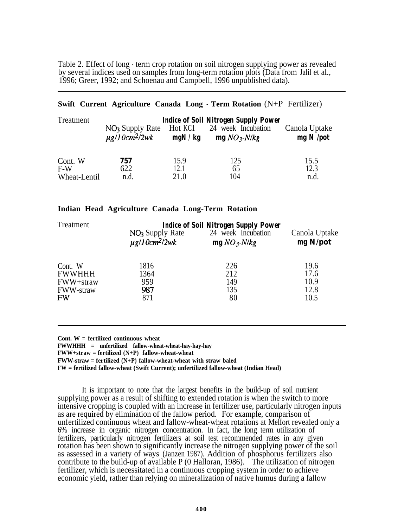Table 2. Effect of long - term crop rotation on soil nitrogen supplying power as revealed by several indices used on samples from long-term rotation plots (Data from Jalil et al., 1996; Greer, 1992; and Schoenau and Campbell, 1996 unpublished data).

## **Swift Current Agriculture Canada Long - Term Rotation** (N+P Fertilizer)

| Treatment        | <b>Indice of Soil Nitrogen Supply Power</b>                   |                   |                                    |                              |  |
|------------------|---------------------------------------------------------------|-------------------|------------------------------------|------------------------------|--|
|                  | NO <sub>3</sub> Supply Rate<br>$\mu$ g/10cm <sup>2</sup> /2wk | Hot KC1<br>mgN/kg | 24 week Incubation<br>$mgNO3-N/kg$ | Canola Uptake<br>$mg N$ /pot |  |
| Cont. W<br>$F-W$ | 757<br>622                                                    | 15.9<br>12.1      | 125<br>65                          | 15.5<br>12.3                 |  |
| Wheat-Lentil     | n.d.                                                          | 21.0              | 104                                | n.d.                         |  |

### **Indian Head Agriculture Canada Long-Term Rotation**

| Treatment        | <b>Indice of Soil Nitrogen Supply Power</b> |                    |               |
|------------------|---------------------------------------------|--------------------|---------------|
|                  | NO <sub>3</sub> Supply Rate                 | 24 week Incubation | Canola Uptake |
|                  | $\mu$ g/10cm <sup>2</sup> /2wk              | $mgNO3$ -N/kg      | mg N/pot      |
| Cont. W          | 1816                                        | 226                | 19.6          |
| <b>FWWHHH</b>    | 1364                                        | 212                | 17.6          |
| FWW+straw        | 959                                         | 149                | 10.9          |
| <b>FWW-straw</b> | 987                                         | 135                | 12.8          |
| <b>FW</b>        | 871                                         | 80                 | 10.5          |
|                  |                                             |                    |               |

**Cont. W = fertilized continuous wheat**

**FWWHHH = unfertilized fallow-wheat-wheat-hay-hay-hay**

**FWW+straw = fertilized (N+P) fallow-wheat-wheat**

**FWW-straw = fertilized (N+P) fallow-wheat-wheat with straw baled**

**FW = fertilized fallow-wheat (Swift Current); unfertilized fallow-wheat (Indian Head)**

It is important to note that the largest benefits in the build-up of soil nutrient supplying power as a result of shifting to extended rotation is when the switch to more intensive cropping is coupled with an increase in fertilizer use, particularly nitrogen inputs as are required by elimination of the fallow period. For example, comparison of unfertilized continuous wheat and fallow-wheat-wheat rotations at Melfort revealed only a 6% increase in organic nitrogen concentration. In fact, the long term utilization of fertilizers, particularly nitrogen fertilizers at soil test recommended rates in any given rotation has been shown to significantly increase the nitrogen supplying power of the soil as assessed in a variety of ways (Janzen 1987). Addition of phosphorus fertilizers also contribute to the build-up of available P (0 Halloran, 1986). The utilization of nitrogen fertilizer, which is necessitated in a continuous cropping system in order to achieve economic yield, rather than relying on mineralization of native humus during a fallow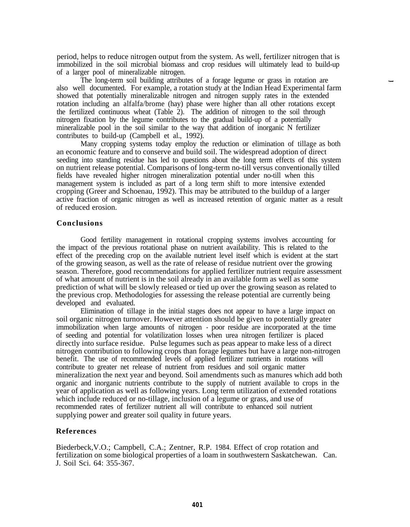period, helps to reduce nitrogen output from the system. As well, fertilizer nitrogen that is immobilized in the soil microbial biomass and crop residues will ultimately lead to build-up of a larger pool of mineralizable nitrogen.

The long-term soil building attributes of a forage legume or grass in rotation are also well documented. For example, a rotation study at the Indian Head Experimental farm showed that potentially mineralizable nitrogen and nitrogen supply rates in the extended rotation including an alfalfa/brome (hay) phase were higher than all other rotations except the fertilized continuous wheat (Table  $2$ ). The addition of nitrogen to the soil through nitrogen fixation by the legume contributes to the gradual build-up of a potentially mineralizable pool in the soil similar to the way that addition of inorganic N fertilizer contributes to build-up (Campbell et al., 1992).

Many cropping systems today employ the reduction or elimination of tillage as both an economic feature and to conserve and build soil. The widespread adoption of direct seeding into standing residue has led to questions about the long term effects of this system on nutrient release potential. Comparisons of long-term no-till versus conventionally tilled fields have revealed higher nitrogen mineralization potential under no-till when this management system is included as part of a long term shift to more intensive extended cropping (Greer and Schoenau, 1992). This may be attributed to the buildup of a larger active fraction of organic nitrogen as well as increased retention of organic matter as a result of reduced erosion.

#### **Conclusions**

Good fertility management in rotational cropping systems involves accounting for the impact of the previous rotational phase on nutrient availability. This is related to the effect of the preceding crop on the available nutrient level itself which is evident at the start of the growing season, as well as the rate of release of residue nutrient over the growing season. Therefore, good recommendations for applied fertilizer nutrient require assessment of what amount of nutrient is in the soil already in an available form as well as some prediction of what will be slowly released or tied up over the growing season as related to the previous crop. Methodologies for assessing the release potential are currently being developed and evaluated.

Elimination of tillage in the initial stages does not appear to have a large impact on soil organic nitrogen turnover. However attention should be given to potentially greater immobilization when large amounts of nitrogen - poor residue are incorporated at the time of seeding and potential for volatilization losses when urea nitrogen fertilizer is placed directly into surface residue. Pulse legumes such as peas appear to make less of a direct nitrogen contribution to following crops than forage legumes but have a large non-nitrogen benefit. The use of recommended levels of applied fertilizer nutrients in rotations will contribute to greater net release of nutrient from residues and soil organic matter mineralization the next year and beyond. Soil amendments such as manures which add both organic and inorganic nutrients contribute to the supply of nutrient available to crops in the year of application as well as following years. Long term utilization of extended rotations which include reduced or no-tillage, inclusion of a legume or grass, and use of recommended rates of fertilizer nutrient all will contribute to enhanced soil nutrient supplying power and greater soil quality in future years.

#### **References**

Biederbeck,V.O.; Campbell, C.A.; Zentner, R.P. 1984. Effect of crop rotation and fertilization on some biological properties of a loam in southwestern Saskatchewan. Can. J. Soil Sci. 64: 355-367.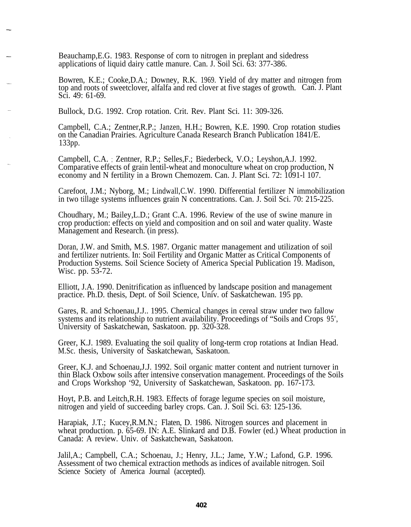Beauchamp,E.G. 1983. Response of corn to nitrogen in preplant and sidedress applications of liquid dairy cattle manure. Can. J. Soil Sci. 63: 377-386.

Bowren, K.E.; Cooke,D.A.; Downey, R.K. 1969. Yield of dry matter and nitrogen from top and roots of sweetclover, alfalfa and red clover at five stages of growth. Can. J. Plant Sci. 49: 61-69.

Bullock, D.G. 1992. Crop rotation. Crit. Rev. Plant Sci. 11: 309-326.

Campbell, C.A.; Zentner,R.P.; Janzen, H.H.; Bowren, K.E. 1990. Crop rotation studies on the Canadian Prairies. Agriculture Canada Research Branch Publication 1841/E. 133pp.

Campbell, C.A. ; Zentner, R.P.; Selles,F.; Biederbeck, V.O.; Leyshon,A.J. 1992. Comparative effects of grain lentil-wheat and monoculture wheat on crop production, N economy and N fertility in a Brown Chemozem. Can. J. Plant Sci. 72: 1091-1 107.

Carefoot, J.M.; Nyborg, M.; Lindwall,C.W. 1990. Differential fertilizer N immobilization in two tillage systems influences grain N concentrations. Can. J. Soil Sci. 70: 215-225.

Choudhary, M.; Bailey,L.D.; Grant C.A. 1996. Review of the use of swine manure in crop production: effects on yield and composition and on soil and water quality. Waste Management and Research. (in press).

Doran, J.W. and Smith, M.S. 1987. Organic matter management and utilization of soil and fertilizer nutrients. In: Soil Fertility and Organic Matter as Critical Components of Production Systems. Soil Science Society of America Special Publication 19. Madison, Wisc. pp. 53-72.

Elliott, J.A. 1990. Denitrification as influenced by landscape position and management practice. Ph.D. thesis, Dept. of Soil Science, Univ. of Saskatchewan. 195 pp.

Gares, R. and Schoenau,J.J.. 1995. Chemical changes in cereal straw under two fallow systems and its relationship to nutrient availability. Proceedings of "Soils and Crops 95', University of Saskatchewan, Saskatoon. pp. 320-328.

Greer, K.J. 1989. Evaluating the soil quality of long-term crop rotations at Indian Head. M.Sc. thesis, University of Saskatchewan, Saskatoon.

Greer, K.J. and Schoenau,J.J. 1992. Soil organic matter content and nutrient turnover in thin Black Oxbow soils after intensive conservation management. Proceedings of the Soils and Crops Workshop '92, University of Saskatchewan, Saskatoon. pp. 167-173.

Hoyt, P.B. and Leitch,R.H. 1983. Effects of forage legume species on soil moisture, nitrogen and yield of succeeding barley crops. Can. J. Soil Sci. 63: 125-136.

Harapiak, J.T.; Kucey, R.M.N.; Flaten, D. 1986. Nitrogen sources and placement in wheat production. p. 65-69. IN: A.E. Slinkard and D.B. Fowler (ed.) Wheat production in Canada: A review. Univ. of Saskatchewan, Saskatoon.

Jalil,A.; Campbell, C.A.; Schoenau, J.; Henry, J.L.; Jame, Y.W.; Lafond, G.P. 1996. Assessment of two chemical extraction methods as indices of available nitrogen. Soil Science Society of America Journal (accepted).